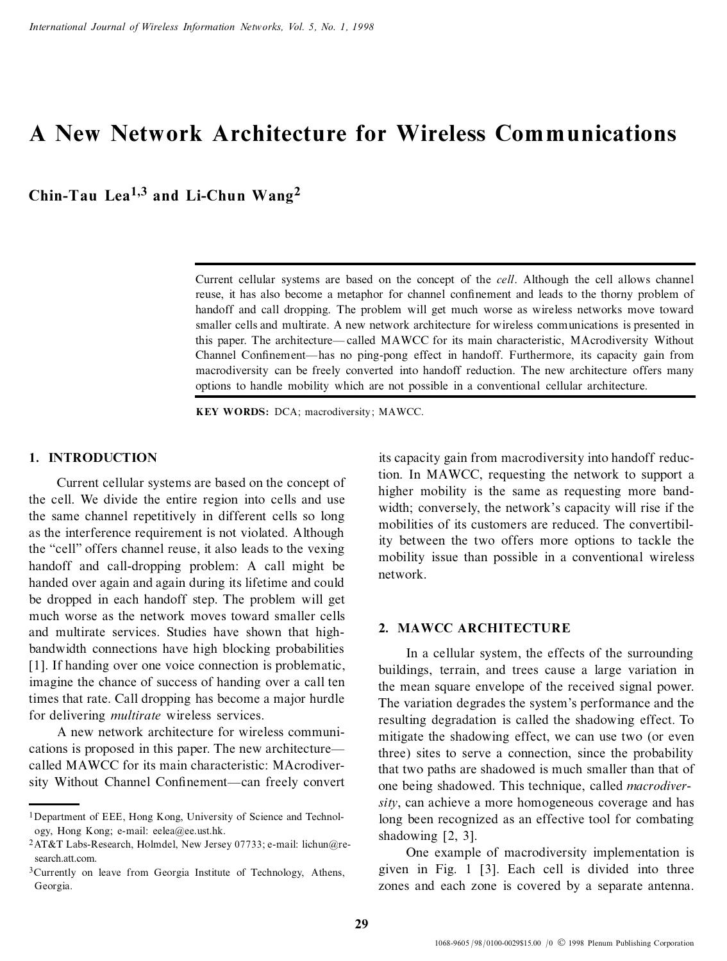# **A New Network Architecture for Wireless Communications**

**Chin-Tau Lea1,3 and Li-Chun Wang<sup>2</sup>**

Current cellular systems are based on the concept of the *cell*. Although the cell allows channel reuse, it has also become a metaphor for channel confinement and leads to the thorny problem of handoff and call dropping. The problem will get much worse as wireless networks move toward smaller cells and multirate. A new network architecture for wireless communications is presented in this paper. The architecture—called MAWCC for its main characteristic, MAcrodiversity Without Channel Confinement—has no ping-pong effect in handoff. Furthermore, its capacity gain from macrodiversity can be freely converted into handoff reduction. The new architecture offers many options to handle mobility which are not possible in a conventional cellular architecture.

**KEY WORDS:** DCA; macrodiversity ; MAWCC.

## **1. INTRODUCTION**

Current cellular systems are based on the concept of the cell. We divide the entire region into cells and use the same channel repetitively in different cells so long as the interference requirement is not violated. Although the "cell" offers channel reuse, it also leads to the vexing handoff and call-dropping problem: A call might be handed over again and again during its lifetime and could be dropped in each handoff step. The problem will get much worse as the network moves toward smaller cells and multirate services. Studies have shown that highbandwidth connections have high blocking probabilities [1]. If handing over one voice connection is problematic, imagine the chance of success of handing over a call ten times that rate. Call dropping has become a major hurdle for delivering *multirate* wireless services.

A new network architecture for wireless communications is proposed in this paper. The new architecture called MAWCC for its main characteristic: MAcrodiversity Without Channel Confinement—can freely convert its capacity gain from macrodiversity into handoff reduction. In MAWCC, requesting the network to support a higher mobility is the same as requesting more bandwidth; conversely, the network's capacity will rise if the mobilities of its customers are reduced. The convertibility between the two offers more options to tackle the mobility issue than possible in a conventional wireless network.

# **2. MAWCC ARCHITECTURE**

In a cellular system, the effects of the surrounding buildings, terrain, and trees cause a large variation in the mean square envelope of the received signal power. The variation degrades the system's performance and the resulting degradation is called the shadowing effect. To mitigate the shadowing effect, we can use two (or even three) sites to serve a connection, since the probability that two paths are shadowed is much smaller than that of one being shadowed. This technique, called *macrodiversity*, can achieve a more homogeneous coverage and has long been recognized as an effective tool for combating shadowing [2, 3].

One example of macrodiversity implementation is given in Fig. 1 [3]. Each cell is divided into three zones and each zone is covered by a separate antenna.

<sup>1</sup>Department of EEE, Hong Kong, University of Science and Technology, Hong Kong; e-mail: eelea@ee.ust.hk.

<sup>2</sup>AT&T Labs-Research, Holmdel, New Jersey 07733; e-mail: lichun@research att.com.

<sup>3</sup>Currently on leave from Georgia Institute of Technology, Athens, Georgia.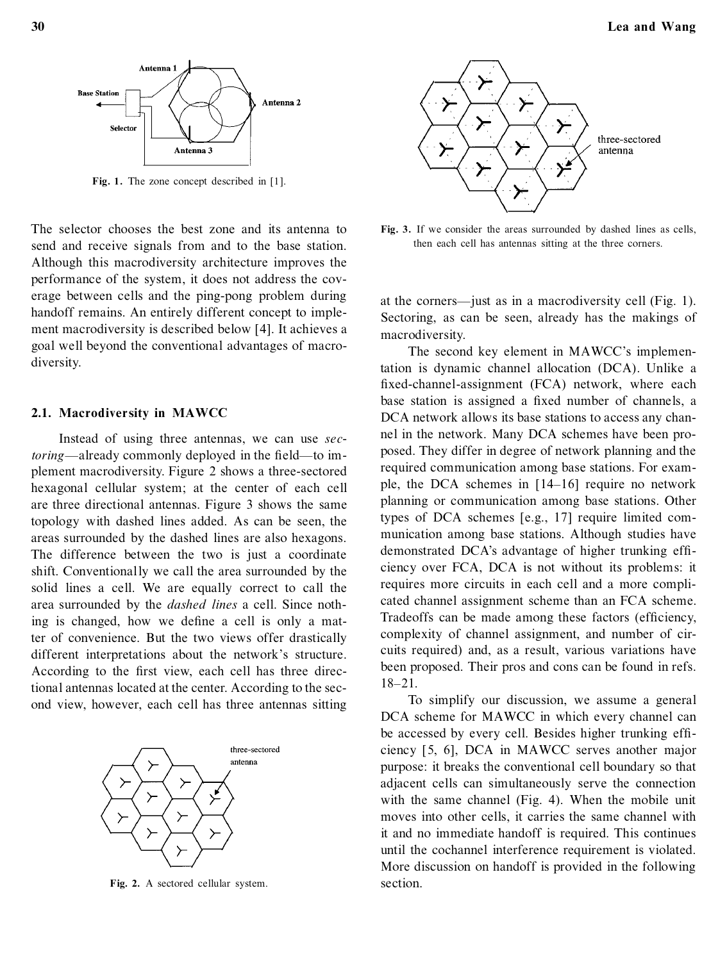

**Fig. 1.** The zone concept described in [1].

The selector chooses the best zone and its antenna to send and receive signals from and to the base station. Although this macrodiversity architecture improves the performance of the system, it does not address the coverage between cells and the ping-pong problem during handoff remains. An entirely different concept to implement macrodiversity is described below [4]. It achieves a goal well beyond the conventional advantages of macrodiversity.

#### **2.1. Macrodiversity in MAWCC**

Instead of using three antennas, we can use *sectoring*—already commonly deployed in the field—to implement macrodiversity. Figure 2 shows a three-sectored hexagonal cellular system; at the center of each cell are three directional antennas. Figure 3 shows the same topology with dashed lines added. As can be seen, the areas surrounded by the dashed lines are also hexagons. The difference between the two is just a coordinate shift. Conventionally we call the area surrounded by the solid lines a cell. We are equally correct to call the area surrounded by the *dashed lines* a cell. Since nothing is changed, how we define a cell is only a matter of convenience. But the two views offer drastically different interpretations about the network's structure. According to the first view, each cell has three directional antennas located at the center. According to the second view, however, each cell has three antennas sitting



**Fig. 2.** A sectored cellular system.



**Fig. 3.** If we consider the areas surrounded by dashed lines as cells, then each cell has antennas sitting at the three corners.

at the corners—just as in a macrodiversity cell (Fig. 1). Sectoring, as can be seen, already has the makings of macrodiversity.

The second key element in MAWCC's implementation is dynamic channel allocation (DCA). Unlike a fixed-channel-assignment (FCA) network, where each base station is assigned a fixed number of channels, a DCA network allows its base stations to access any channel in the network. Many DCA schemes have been proposed. They differ in degree of network planning and the required communication among base stations. For exam ple, the DCA schemes in  $[14–16]$  require no network planning or communication among base stations. Other types of DCA schemes [e.g., 17] require limited com munication among base stations. Although studies have demonstrated DCA's advantage of higher trunking efficiency over FCA, DCA is not without its problems: it requires more circuits in each cell and a more complicated channel assignment scheme than an FCA scheme. Tradeoffs can be made among these factors (efficiency, complexity of channel assignment, and number of circuits required) and, as a result, various variations have been proposed. Their pros and cons can be found in refs.  $18 - 21$ .

To simplify our discussion, we assume a general DCA scheme for MAWCC in which every channel can be accessed by every cell. Besides higher trunking efficiency [5, 6], DCA in MAWCC serves another major purpose: it breaks the conventional cell boundary so that adjacent cells can simultaneously serve the connection with the same channel (Fig. 4). When the mobile unit moves into other cells, it carries the same channel with it and no immediate handoff is required. This continues until the cochannel interference requirement is violated. More discussion on handoff is provided in the following section.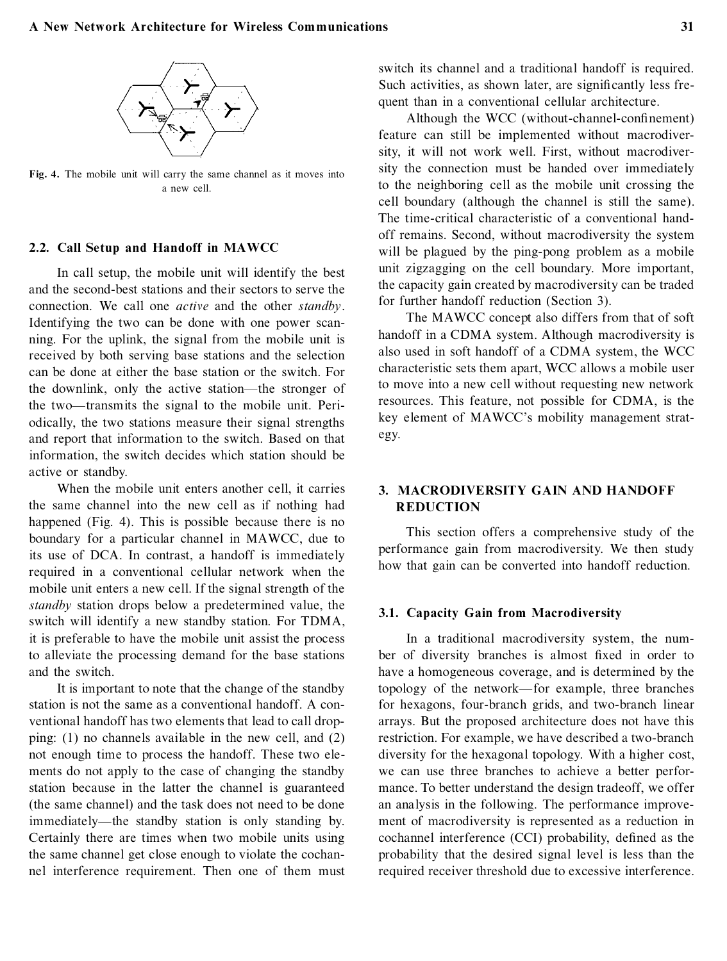

**Fig. 4.** The mobile unit will carry the same channel as it moves into a new cell.

## **2.2. Call Setup and Handoff in MAWCC**

In call setup, the mobile unit will identify the best and the second-best stations and their sectors to serve the connection. We call one *active* and the other *standby*. Identifying the two can be done with one power scanning. For the uplink, the signal from the mobile unit is received by both serving base stations and the selection can be done at either the base station or the switch. For the downlink, only the active station—the stronger of the two—transmits the signal to the mobile unit. Periodically, the two stations measure their signal strengths and report that information to the switch. Based on that information, the switch decides which station should be active or standby.

When the mobile unit enters another cell, it carries the same channel into the new cell as if nothing had happened (Fig. 4). This is possible because there is no boundary for a particular channel in MAWCC, due to its use of DCA. In contrast, a handoff is immediately required in a conventional cellular network when the mobile unit enters a new cell. If the signal strength of the *standby* station drops below a predetermined value, the switch will identify a new standby station. For TDMA, it is preferable to have the mobile unit assist the process to alleviate the processing demand for the base stations and the switch.

It is important to note that the change of the standby station is not the same as a conventional handoff. A conventional handoff has two elements that lead to call dropping: (1) no channels available in the new cell, and (2) not enough time to process the handoff. These two ele ments do not apply to the case of changing the standby station because in the latter the channel is guaranteed (the same channel) and the task does not need to be done immediately—the standby station is only standing by. Certainly there are times when two mobile units using the same channel get close enough to violate the cochannel interference requirement. Then one of them must switch its channel and a traditional handoff is required. Such activities, as shown later, are significantly less frequent than in a conventional cellular architecture.

Although the WCC (without-channel-confinement) feature can still be implemented without macrodiversity, it will not work well. First, without macrodiversity the connection must be handed over immediately to the neighboring cell as the mobile unit crossing the cell boundary (although the channel is still the same). The time-critical characteristic of a conventional handoff remains. Second, without macrodiversity the system will be plagued by the ping-pong problem as a mobile unit zigzagging on the cell boundary. More important, the capacity gain created by macrodiversity can be traded for further handoff reduction (Section 3).

The MAWCC concept also differs from that of soft handoff in a CDMA system. Although macrodiversity is also used in soft handoff of a CDMA system, the WCC characteristic sets them apart, WCC allows a mobile user to move into a new cell without requesting new network resources. This feature, not possible for CDMA, is the key element of MAWCC's mobility management strategy.

## **3. MACRODIVERSITY GAIN AND HANDOFF REDUCTION**

This section offers a comprehensive study of the performance gain from macrodiversity. We then study how that gain can be converted into handoff reduction.

## **3.1. Capacity Gain from Macrodiversity**

In a traditional macrodiversity system, the number of diversity branches is almost fixed in order to have a homogeneous coverage, and is determined by the topology of the network—for example, three branches for hexagons, four-branch grids, and two-branch linear arrays. But the proposed architecture does not have this restriction. For example, we have described a two-branch diversity for the hexagonal topology. With a higher cost, we can use three branches to achieve a better performance. To better understand the design tradeoff, we offer an analysis in the following. The performance improvement of macrodiversity is represented as a reduction in cochannel interference (CCI) probability, defined as the probability that the desired signal level is less than the required receiver threshold due to excessive interference.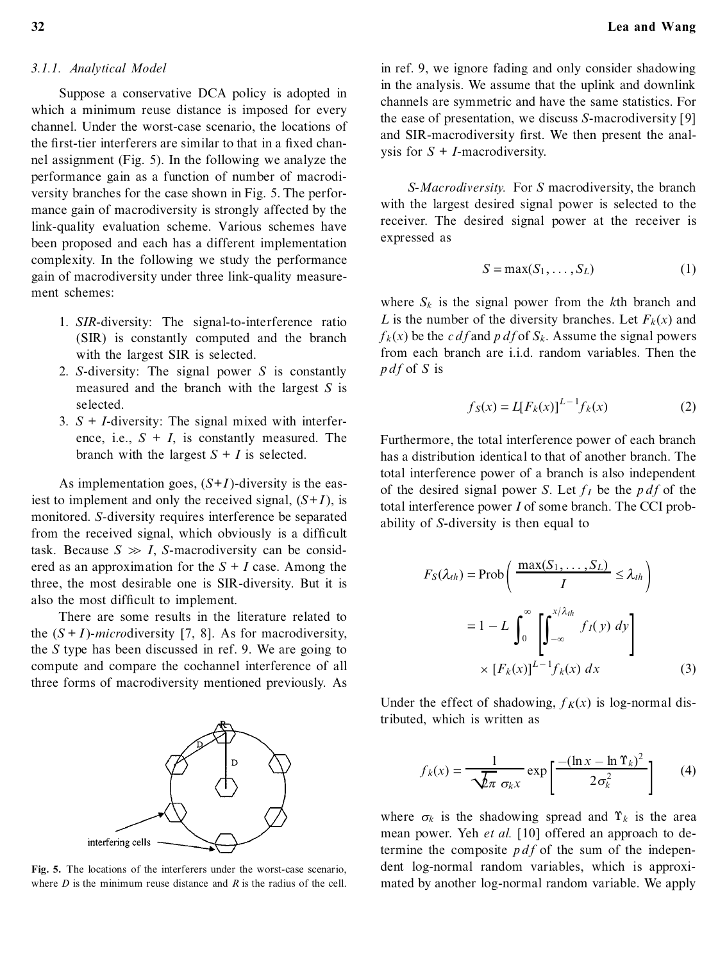# *3.1.1. Analytical Model*

Suppose a conservative DCA policy is adopted in which a minimum reuse distance is imposed for every channel. Under the worst-case scenario, the locations of the first-tier interferers are similar to that in a fixed channel assignment (Fig. 5). In the following we analyze the performance gain as a function of number of macrodiversity branches for the case shown in Fig. 5. The performance gain of macrodiversity is strongly affected by the link-quality evaluation scheme. Various schemes have been proposed and each has a different implementation complexity. In the following we study the performance gain of macrodiversity under three link-quality measurement schemes:

- 1. *SIR*-diversity: The signal-to-interference ratio (SIR) is constantly computed and the branch with the largest SIR is selected.
- 2. *S*-diversity: The signal power *S* is constantly measured and the branch with the largest *S* is selected.
- 3.  $S + I$ -diversity: The signal mixed with interference, i.e.,  $S + I$ , is constantly measured. The branch with the largest  $S + I$  is selected.

As implementation goes,  $(S+I)$ -diversity is the easiest to implement and only the received signal,  $(S+I)$ , is monitored. *S*-diversity requires interference be separated from the received signal, which obviously is a difficult task. Because  $S \gg I$ , *S*-macrodiversity can be considered as an approximation for the  $S + I$  case. Among the three, the most desirable one is SIR-diversity. But it is also the most difficult to implement.

There are some results in the literature related to the  $(S + I)$ -*microdiversity* [7, 8]. As for macrodiversity, the *S* type has been discussed in ref. 9. We are going to compute and compare the cochannel interference of all three forms of macrodiversity mentioned previously. As



**Fig. 5.** The locations of the interferers under the worst-case scenario, where *D* is the minimum reuse distance and *R* is the radius of the cell.

in ref. 9, we ignore fading and only consider shadowing in the analysis. We assume that the uplink and downlink channels are symmetric and have the same statistics. For the ease of presentation, we discuss *S*-macrodiversity [9] and SIR-macrodiversity first. We then present the analysis for  $S + I$ -macrodiversity.

*S-Macrodiversity.* For *S* macrodiversity, the branch with the largest desired signal power is selected to the receiver. The desired signal power at the receiver is expressed as

$$
S = \max(S_1, \dots, S_L) \tag{1}
$$

where  $S_k$  is the signal power from the  $k$ <sup>th</sup> branch and *L* is the number of the diversity branches. Let  $F_k(x)$  and  $f_k(x)$  be the *c d f* and *p d f* of *S*<sup>*k*</sup>. Assume the signal powers from each branch are i.i.d. random variables. Then the  $p df$  of *S* is

$$
f_S(x) = L[F_k(x)]^{L-1} f_k(x)
$$
 (2)

Furthermore, the total interference power of each branch has a distribution identical to that of another branch. The total interference power of a branch is also independent of the desired signal power *S*. Let  $f_I$  be the *p df* of the total interference power *I* of some branch. The CCI probability of *S*-diversity is then equal to

$$
F_S(\lambda_{th}) = \text{Prob}\left(\frac{\max(S_1, \dots, S_L)}{I} \le \lambda_{th}\right)
$$

$$
= 1 - L \int_0^\infty \left[\int_{-\infty}^{x/\lambda_{th}} f_I(y) \, dy\right]
$$

$$
\times \left[F_k(x)\right]^{L-1} f_k(x) \, dx \tag{3}
$$

Under the effect of shadowing,  $f_K(x)$  is log-normal distributed, which is written as

$$
f_k(x) = \frac{1}{\sqrt{\lambda \pi} \sigma_k x} \exp\left[\frac{-(\ln x - \ln \Upsilon_k)^2}{2\sigma_k^2}\right]
$$
 (4)

where  $\sigma_k$  is the shadowing spread and  $\Upsilon_k$  is the area mean power. Yeh *et al.* [10] offered an approach to determine the composite  $pdf$  of the sum of the independent log-normal random variables, which is approximated by another log-normal random variable. We apply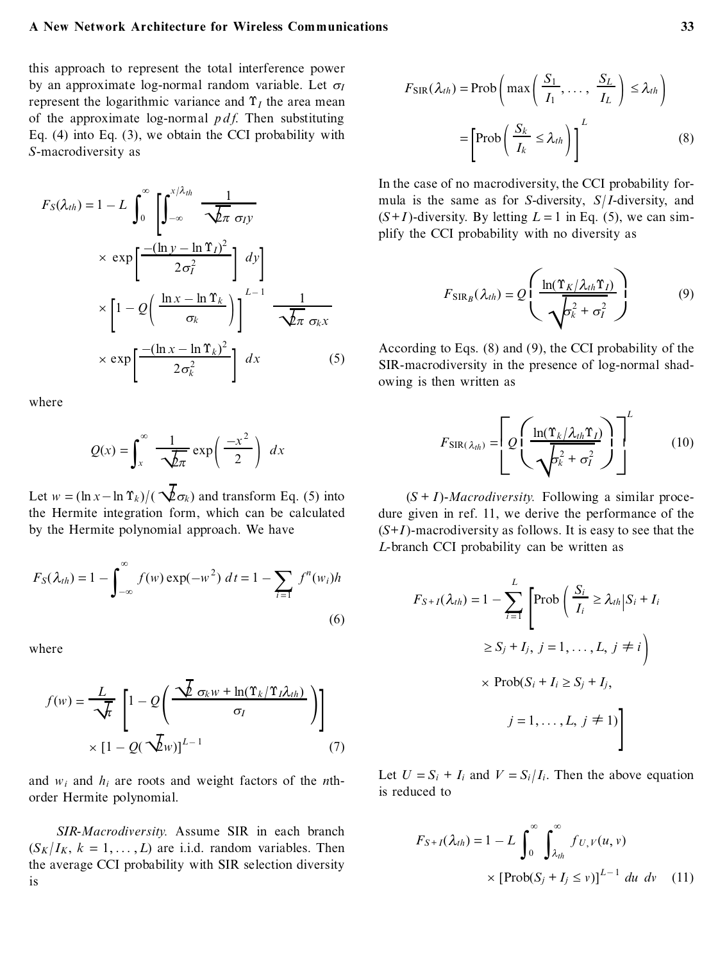#### **A New Network Architecture for Wireless Communications 33**

this approach to represent the total interference power by an approximate log-normal random variable. Let  $\sigma$ *I* represent the logarithmic variance and  $\Upsilon_l$  the area mean of the approximate log-normal  $p \, df$ . Then substituting Eq. (4) into Eq. (3), we obtain the CCI probability with *S*-macrodiversity as

$$
F_S(\lambda_{th}) = 1 - L \int_0^\infty \left[ \int_{-\infty}^{x/\lambda_{th}} \frac{1}{\sqrt{\lambda \pi} \sigma_{I} y} \times \exp\left[ \frac{-(\ln y - \ln \Upsilon_I)^2}{2\sigma_I^2} \right] dy \right]
$$
  
 
$$
\times \left[ 1 - Q\left( \frac{\ln x - \ln \Upsilon_k}{\sigma_k} \right) \right]^{L-1} \frac{1}{\sqrt{\lambda \pi} \sigma_k x}
$$
  
 
$$
\times \exp\left[ \frac{-(\ln x - \ln \Upsilon_k)^2}{2\sigma_k^2} \right] dx
$$
 (5)

where

$$
Q(x) = \int_{x}^{\infty} \frac{1}{\sqrt{2\pi}} \exp\left(\frac{-x^2}{2}\right) dx
$$

Let  $w = (\ln x - \ln \Upsilon_k)/(\sqrt{\frac{2}{c}}\sigma_k)$  and transform Eq. (5) into the Hermite integration form, which can be calculated by the Hermite polynomial approach. We have

$$
F_S(\lambda_{th}) = 1 - \int_{-\infty}^{\infty} f(w) \exp(-w^2) dt = 1 - \sum_{i=1} f^n(w_i)h
$$
\n(6)

where

$$
f(w) = \frac{L}{\sqrt{t}} \left[ 1 - Q\left(\frac{\sqrt{2} \sigma_k w + \ln(\Upsilon_k / \Upsilon_l \lambda_{th})}{\sigma_l}\right) \right]
$$
  
 
$$
\times \left[ 1 - Q(\sqrt{2}w) \right]^{L-1}
$$
 (7)

and  $w_i$  and  $h_i$  are roots and weight factors of the *n*thorder Hermite polynomial.

*SIR-Macrodiversity.* Assume SIR in each branch  $(S_K | I_K, k = 1, \ldots, L)$  are i.i.d. random variables. Then the average CCI probability with SIR selection diversity is

$$
F_{\text{SIR}}(\lambda_{th}) = \text{Prob}\left(\max\left(\frac{S_1}{I_1}, \dots, \frac{S_L}{I_L}\right) \le \lambda_{th}\right)
$$

$$
= \left[\text{Prob}\left(\frac{S_k}{I_k} \le \lambda_{th}\right)\right]^L \tag{8}
$$

In the case of no macrodiversity, the CCI probability formula is the same as for *S*-diversity, *S*/ *I*-diversity, and  $(S+I)$ -diversity. By letting  $L = 1$  in Eq. (5), we can simplify the CCI probability with no diversity as

$$
F_{\text{SIR}_B}(\lambda_{th}) = Q \left( \frac{\ln(\Upsilon_K/\lambda_{th} \Upsilon_I)}{\sqrt{\sigma_k^2 + \sigma_I^2}} \right) \tag{9}
$$

According to Eqs. (8) and (9), the CCI probability of the SIR-macrodiversity in the presence of log-normal shadowing is then written as

$$
F_{\text{SIR}(\lambda_{th})} = \left[ Q \left( \frac{\ln(\Upsilon_k/\lambda_{th} \Upsilon_I)}{\sqrt{b_k^2 + \sigma_I^2}} \right) \right]^{L}
$$
 (10)

 $(S + I)$ -*Macrodiversity*. Following a similar procedure given in ref. 11, we derive the performance of the (*S*+*I* )-macrodiversity as follows. It is easy to see that the *L*-branch CCI probability can be written as

$$
F_{S+I}(\lambda_{th}) = 1 - \sum_{i=1}^{L} \left[ \text{Prob}\left(\frac{S_i}{I_i} \ge \lambda_{th} | S_i + I_i \right) \ge S_j + I_j, j = 1, ..., L, j \ne i \right)
$$
  
 
$$
\times \text{Prob}(S_i + I_i \ge S_j + I_j, j = 1, ..., L, j \ne 1)
$$
  
 
$$
j = 1, ..., L, j \ne 1 \}
$$

Let  $U = S_i + I_i$  and  $V = S_i/I_i$ . Then the above equation is reduced to

$$
F_{S+I}(\lambda_{th}) = 1 - L \int_0^\infty \int_{\lambda_{th}}^\infty f_{U,V}(u,v)
$$
  
 
$$
\times \left[ \text{Prob}(S_j + I_j \le v) \right]^{L-1} du dv \quad (11)
$$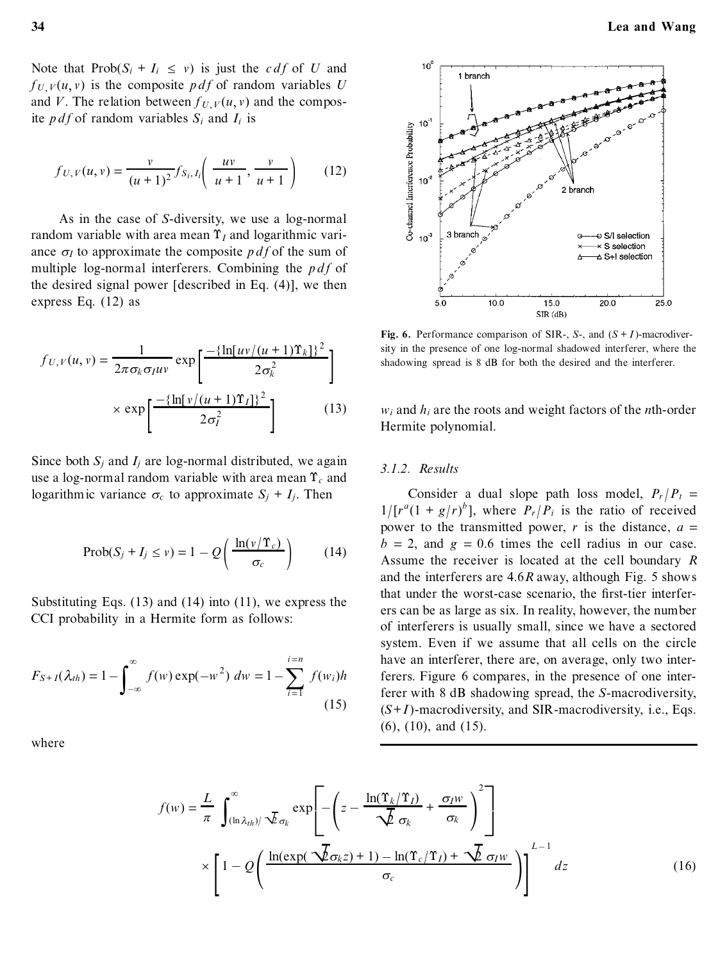Note that  $Prob(S_i + I_i \leq v)$  is just the *c df* of *U* and  $f_U$   $V(u, v)$  is the composite *p df* of random variables *U* and *V*. The relation between  $f_U$   $V(u, v)$  and the composite *p d f* of random variables  $S_i$  and  $I_i$  is

$$
f_{U,V}(u,v) = \frac{v}{(u+1)^2} f_{S_i,I_i}\left(\frac{uv}{u+1}, \frac{v}{u+1}\right) \tag{12}
$$

As in the case of *S*-diversity, we use a log-normal random variable with area mean  $\Upsilon$ <sub>*I*</sub> and logarithmic variance  $\sigma$ *I* to approximate the composite *p df* of the sum of multiple log-normal interferers. Combining the  $p df$  of the desired signal power [described in Eq. (4)], we then express Eq. (12) as

$$
f_{U,V}(u,v) = \frac{1}{2\pi\sigma_k\sigma_I uv} \exp\left[\frac{-\{\ln[uv/(u+1)\Upsilon_k]\}^2}{2\sigma_k^2}\right] \qquad \text{as}
$$

$$
\times \exp\left[\frac{-\{\ln[v/(u+1)\Upsilon_I]\}^2}{2\sigma_I^2}\right] \qquad (13)
$$

Since both  $S_i$  and  $I_i$  are log-normal distributed, we again use a log-normal random variable with area mean  $\Upsilon_c$  and logarithmic variance  $\sigma_c$  to approximate  $S_i + I_i$ . Then

$$
Prob(S_j + I_j \le v) = 1 - Q\left(\frac{\ln(v/\Upsilon_c)}{\sigma_c}\right) \tag{14}
$$

Substituting Eqs. (13) and (14) into (11), we express the CCI probability in a Hermite form as follows:

$$
F_{S+I}(\lambda_{th}) = 1 - \int_{-\infty}^{\infty} f(w) \exp(-w^2) \ dw = 1 - \sum_{i=1}^{i=n} f(w_i)h
$$
\n(15)

where



**Fig.** 6. Performance comparison of SIR-, *S*-, and  $(S + I)$ -macrodiversity in the presence of one log-normal shadowed interferer, where the shadowing spread is 8 dB for both the desired and the interferer.

*w<sup>i</sup>* and *h<sup>i</sup>* are the roots and weight factors of the *n*th-order Hermite polynomial.

#### *3.1.2. Results*

Consider a dual slope path loss model,  $P_r/P_t$  =  $1/[r^a(1+g/r)^b]$ , where  $P_r/P_i$  is the ratio of received power to the transmitted power,  $r$  is the distance,  $a =$  $b = 2$ , and  $g = 0.6$  times the cell radius in our case. Assume the receiver is located at the cell boundary *R* and the interferers are 4.6*R* away, although Fig. 5 shows that under the worst-case scenario, the first-tier interferers can be as large as six. In reality, however, the number of interferers is usually small, since we have a sectored system. Even if we assume that all cells on the circle have an interferer, there are, on average, only two interferers. Figure 6 compares, in the presence of one interferer with 8 dB shadowing spread, the *S*-macrodiversity,  $(S+I)$ -macrodiversity, and SIR-macrodiversity, i.e., Eqs. (6), (10), and (15).

$$
f(w) = \frac{L}{\pi} \int_{(\ln \lambda_{th})/\sqrt{L} \sigma_k}^{\infty} \exp\left[-\left(z - \frac{\ln(\Upsilon_k/\Upsilon_I)}{\sqrt{L} \sigma_k} + \frac{\sigma_I w}{\sigma_k}\right)^2\right]
$$

$$
\times \left[1 - Q\left(\frac{\ln(\exp(\sqrt{L} \sigma_k z) + 1) - \ln(\Upsilon_c/\Upsilon_I) + \sqrt{L} \sigma_I w}{\sigma_c}\right)\right]^{L-1} dz
$$
(16)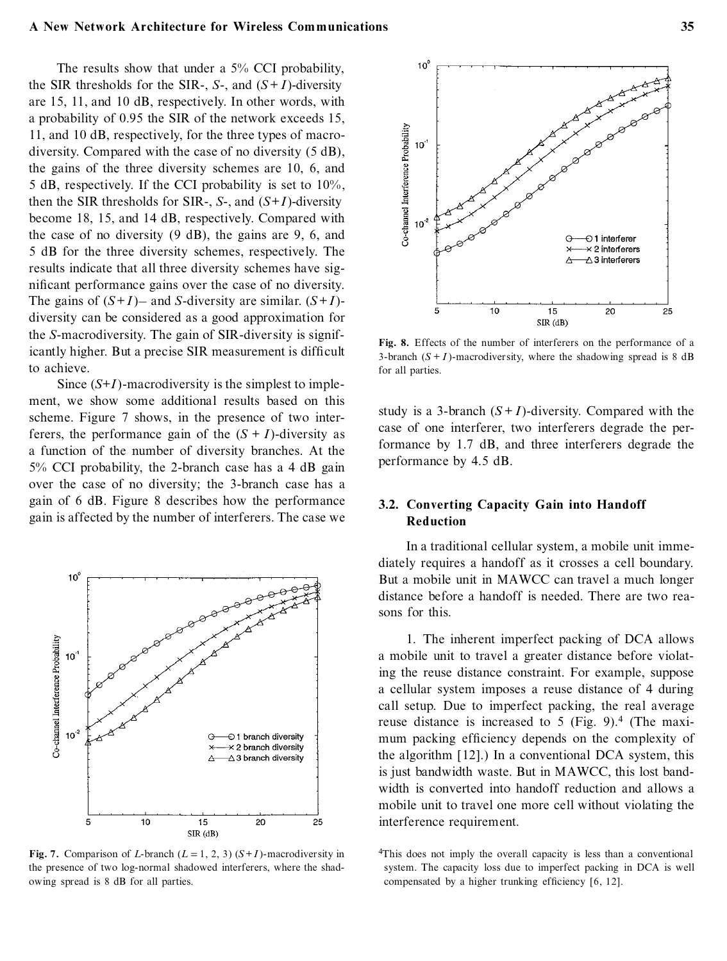#### **A New Network Architecture for Wireless Communications 35**

The results show that under a 5% CCI probability, the SIR thresholds for the SIR-,  $S$ -, and  $(S+I)$ -diversity are 15, 11, and 10 dB, respectively. In other words, with a probability of 0.95 the SIR of the network exceeds 15, 11, and 10 dB, respectively, for the three types of macrodiversity. Compared with the case of no diversity (5 dB), the gains of the three diversity schemes are 10, 6, and 5 dB, respectively. If the CCI probability is set to 10%, then the SIR thresholds for SIR-, *S*-, and  $(S+I)$ -diversity become 18, 15, and 14 dB, respectively. Compared with the case of no diversity (9 dB), the gains are 9, 6, and 5 dB for the three diversity schemes, respectively. The results indicate that all three diversity schemes have significant performance gains over the case of no diversity. The gains of  $(S+I)$ — and *S*-diversity are similar.  $(S+I)$ diversity can be considered as a good approximation for the *S*-macrodiversity. The gain of SIR-diversity is significantly higher. But a precise SIR measurement is difficult to achieve.

Since  $(S+I)$ -macrodiversity is the simplest to implement, we show some additional results based on this scheme. Figure 7 shows, in the presence of two interferers, the performance gain of the  $(S + I)$ -diversity as a function of the number of diversity branches. At the 5% CCI probability, the 2-branch case has a 4 dB gain over the case of no diversity; the 3-branch case has a gain of 6 dB. Figure 8 describes how the performance gain is affected by the number of interferers. The case we



**Fig.** 7. Comparison of *L*-branch  $(L = 1, 2, 3)$   $(S + I)$ -macrodiversity in the presence of two log-normal shadowed interferers, where the shadowing spread is 8 dB for all parties.



**Fig. 8.** Effects of the number of interferers on the performance of a 3-branch  $(S + I)$ -macrodiversity, where the shadowing spread is 8 dB for all parties.

study is a 3-branch  $(S+I)$ -diversity. Compared with the case of one interferer, two interferers degrade the performance by 1.7 dB, and three interferers degrade the performance by 4.5 dB.

# **3.2. Converting Capacity Gain into Handoff Reduction**

In a traditional cellular system, a mobile unit immediately requires a handoff as it crosses a cell boundary. But a mobile unit in MAWCC can travel a much longer distance before a handoff is needed. There are two reasons for this.

1. The inherent imperfect packing of DCA allows a mobile unit to travel a greater distance before violating the reuse distance constraint. For example, suppose a cellular system imposes a reuse distance of 4 during call setup. Due to imperfect packing, the real average reuse distance is increased to 5 (Fig. 9).<sup>4</sup> (The maximum packing efficiency depends on the complexity of the algorithm [12].) In a conventional DCA system, this is just bandwidth waste. But in MAWCC, this lost bandwidth is converted into handoff reduction and allows a mobile unit to travel one more cell without violating the interference requirement.

<sup>4</sup>This does not imply the overall capacity is less than a conventional system. The capacity loss due to imperfect packing in DCA is well compensated by a higher trunking efficiency  $[6, 12]$ .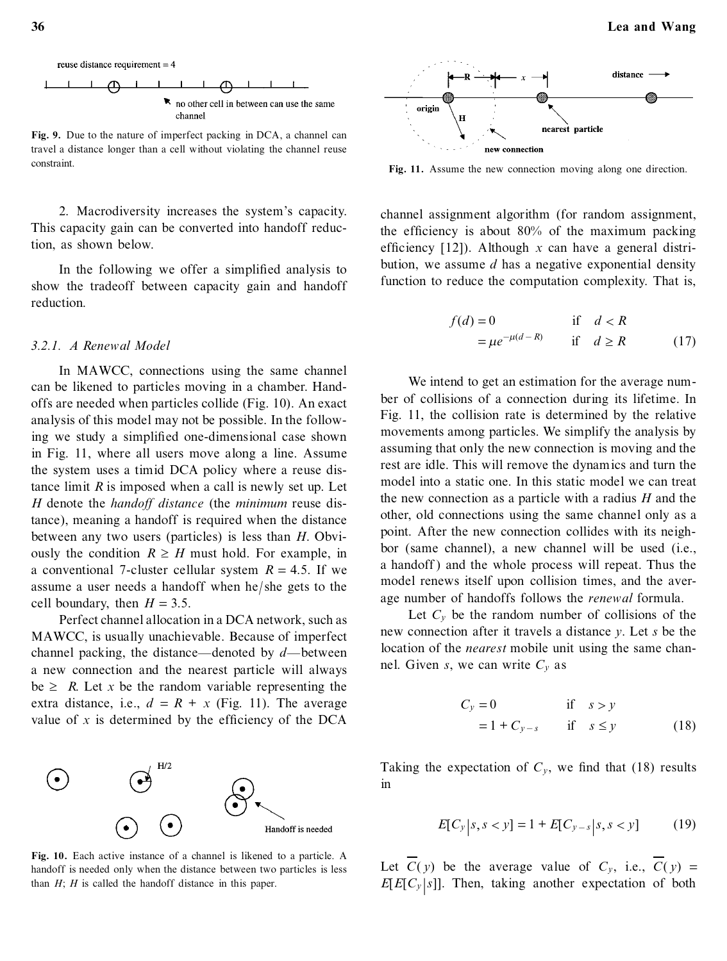

**Fig. 9.** Due to the nature of imperfect packing in DCA, a channel can travel a distance longer than a cell without violating the channel reuse constraint.

2. Macrodiversity increases the system's capacity. This capacity gain can be converted into handoff reduction, as shown below.

In the following we offer a simplified analysis to show the tradeoff between capacity gain and handoff reduction.

# *3.2.1. A Renewal Model*

In MAWCC, connections using the same channel can be likened to particles moving in a chamber. Handoffs are needed when particles collide (Fig. 10). An exact analysis of this model may not be possible. In the following we study a simplified one-dimensional case shown in Fig. 11, where all users move along a line. Assume the system uses a timid DCA policy where a reuse distance limit  $R$  is imposed when a call is newly set up. Let *H* denote the *handoff distance* (the *minimum* reuse distance), meaning a handoff is required when the distance between any two users (particles) is less than *H*. Obviously the condition  $R \geq H$  must hold. For example, in a conventional 7-cluster cellular system  $R = 4.5$ . If we assume a user needs a handoff when he/ she gets to the cell boundary, then  $H = 3.5$ .

Perfect channel allocation in a DCA network, such as MAWCC, is usually unachievable. Because of imperfect channel packing, the distance—denoted by  $d$ —between a new connection and the nearest particle will always  $be \geq R$ . Let *x* be the random variable representing the extra distance, i.e.,  $d = R + x$  (Fig. 11). The average value of  $x$  is determined by the efficiency of the DCA



**Fig. 10.** Each active instance of a channel is likened to a particle. A handoff is needed only when the distance between two particles is less than *H*; *H* is called the handoff distance in this paper.



**Fig. 11.** Assume the new connection moving along one direction.

channel assignment algorithm (for random assignment, the efficiency is about  $80\%$  of the maximum packing efficiency [12]). Although  $x$  can have a general distribution, we assume *d* has a negative exponential density function to reduce the computation complexity. That is,

$$
f(d) = 0 \qquad \text{if} \quad d < R
$$
\n
$$
= \mu e^{-\mu(d - R)} \qquad \text{if} \quad d \ge R \tag{17}
$$

We intend to get an estimation for the average num ber of collisions of a connection during its lifetime. In Fig. 11, the collision rate is determined by the relative movements among particles. We simplify the analysis by assuming that only the new connection is moving and the rest are idle. This will remove the dynamics and turn the model into a static one. In this static model we can treat the new connection as a particle with a radius *H* and the other, old connections using the same channel only as a point. After the new connection collides with its neighbor (same channel), a new channel will be used (i.e., a handoff ) and the whole process will repeat. Thus the model renews itself upon collision times, and the average number of handoffs follows the *renewal* formula.

Let  $C_v$  be the random number of collisions of the new connection after it travels a distance *y*. Let *s* be the location of the *nearest* mobile unit using the same channel. Given *s*, we can write *C<sup>y</sup>* as

$$
C_y = 0 \t\t \text{if} \t s > y
$$
  
= 1 + C<sub>y-s</sub> if  $s \le y$  (18)

Taking the expectation of  $C_v$ , we find that (18) results in

$$
E[C_{y}|s, s < y] = 1 + E[C_{y-s}|s, s < y]
$$
 (19)

Let  $\overline{C}(y)$  be the average value of  $C_y$ , i.e.,  $\overline{C}(y)$  = *E*[ $E$ [ $C$ *y* |*s*]]. Then, taking another expectation of both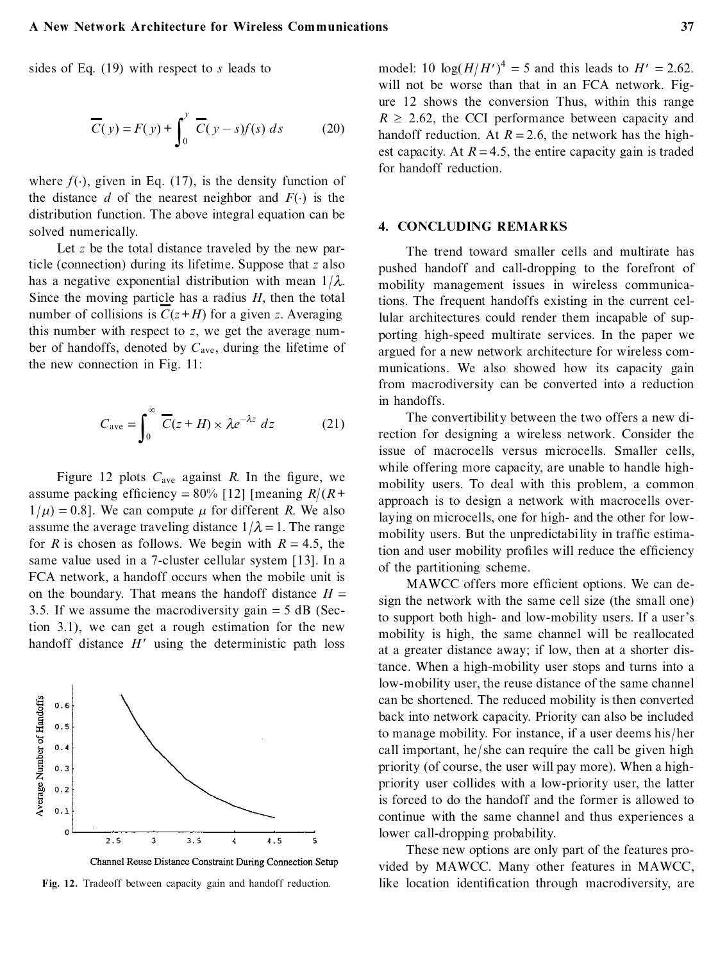sides of Eq. (19) with respect to *s* leads to

$$
\overline{C}(y) = F(y) + \int_0^y \overline{C}(y - s)f(s) ds \qquad (20)
$$

where  $f(\cdot)$ , given in Eq. (17), is the density function of the distance  $d$  of the nearest neighbor and  $F(\cdot)$  is the distribution function. The above integral equation can be solved numerically.

Let *z* be the total distance traveled by the new particle (connection) during its lifetime. Suppose that *z* also has a negative exponential distribution with mean 1/*k*. Since the moving particle has a radius *H*, then the total number of collisions is  $C(z+H)$  for a given *z*. Averaging this number with respect to *z*, we get the average num ber of handoffs, denoted by  $C_{\text{ave}}$ , during the lifetime of the new connection in Fig. 11:

$$
C_{\text{ave}} = \int_0^\infty \overline{C}(z+H) \times \lambda e^{-\lambda z} dz \qquad (21)
$$

Figure 12 plots  $C_{ave}$  against  $R$ . In the figure, we assume packing efficiency =  $80\%$  [12] [meaning  $R/(R+$  $1/\mu$  = 0.8]. We can compute  $\mu$  for different *R*. We also assume the average traveling distance  $1/\lambda = 1$ . The range for *R* is chosen as follows. We begin with  $R = 4.5$ , the same value used in a 7-cluster cellular system [13]. In a FCA network, a handoff occurs when the mobile unit is on the boundary. That means the handoff distance  $H =$ 3.5. If we assume the macrodiversity gain  $=$  5 dB (Section 3.1), we can get a rough estimation for the new handoff distance  $H'$  using the deterministic path loss





**Fig. 12.** Tradeoff between capacity gain and handoff reduction.

model: 10  $\log(H/H')^4 = 5$  and this leads to  $H' = 2.62$ . will not be worse than that in an FCA network. Figure 12 shows the conversion Thus, within this range  $R \ge 2.62$ , the CCI performance between capacity and handoff reduction. At  $R = 2.6$ , the network has the highest capacity. At  $R = 4.5$ , the entire capacity gain is traded for handoff reduction.

## **4. CONCLUDING REMARKS**

The trend toward smaller cells and multirate has pushed handoff and call-dropping to the forefront of mobility management issues in wireless communications. The frequent handoffs existing in the current cellular architectures could render them incapable of supporting high-speed multirate services. In the paper we argued for a new network architecture for wireless com munications. We also showed how its capacity gain from macrodiversity can be converted into a reduction in handoffs.

The convertibility between the two offers a new direction for designing a wireless network. Consider the issue of macrocells versus microcells. Smaller cells, while offering more capacity, are unable to handle highmobility users. To deal with this problem, a common approach is to design a network with macrocells overlaying on microcells, one for high- and the other for lowmobility users. But the unpredictability in traffic estimation and user mobility profiles will reduce the efficiency of the partitioning scheme.

MAWCC offers more efficient options. We can design the network with the same cell size (the small one) to support both high- and low-mobility users. If a user's mobility is high, the same channel will be reallocated at a greater distance away; if low, then at a shorter distance. When a high-mobility user stops and turns into a low-mobility user, the reuse distance of the same channel can be shortened. The reduced mobility is then converted back into network capacity. Priority can also be included to manage mobility. For instance, if a user deems his/ her call important, he/ she can require the call be given high priority (of course, the user will pay more). When a highpriority user collides with a low-priority user, the latter is forced to do the handoff and the former is allowed to continue with the same channel and thus experiences a lower call-dropping probability.

These new options are only part of the features provided by MAWCC. Many other features in MAWCC, like location identification through macrodiversity, are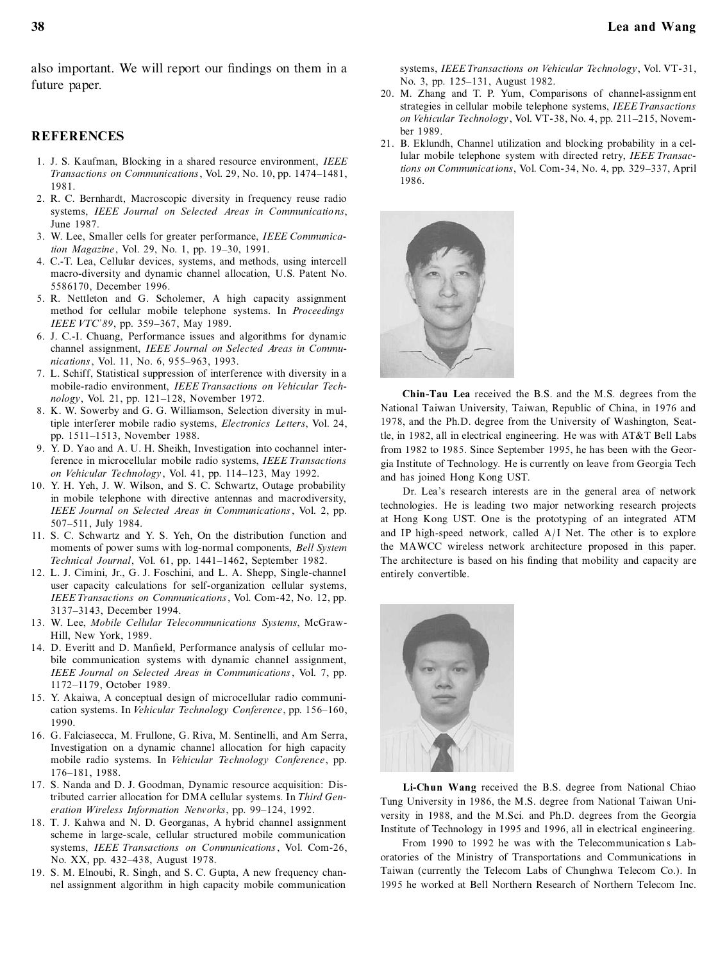also important. We will report our findings on them in a future paper.

## **REFERENCES**

- 1. J. S. Kaufman, Blocking in a shared resource environment, *IEEE Transactions on Communications*, Vol. 29, No. 10, pp. 1474-1481, 1981.
- 2. R. C. Bernhardt, Macroscopic diversity in frequency reuse radio systems, *IEEE Journal on Selected Areas in Communicatio ns*, June 1987.
- 3. W. Lee, Smaller cells for greater performance, *IEEE Communication Magazine*, Vol. 29, No. 1, pp. 19-30, 1991.
- 4. C.-T. Lea, Cellular devices, systems, and methods, using intercell macro-diversity and dynamic channel allocation, U.S. Patent No. 5586170, December 1996.
- 5. R. Nettleton and G. Scholemer, A high capacity assignment method for cellular mobile telephone systems. In *Proceedings IEEE VTC'89*, pp. 359-367, May 1989.
- 6. J. C.-I. Chuang, Performance issues and algorithms for dynamic channel assignment, *IEEE Journal on Selected Areas in Communications*, Vol. 11, No. 6, 955-963, 1993.
- 7. L. Schiff, Statistical suppression of interference with diversity in a mobile-radio environment, *IEEE Transactions on Vehicular Technology*, Vol. 21, pp. 121-128, November 1972.
- 8. K. W. Sowerby and G. G. Williamson, Selection diversity in multiple interferer mobile radio systems, *Electronics Letters*, Vol. 24, pp. 1511-1513, November 1988.
- 9. Y. D. Yao and A. U. H. Sheikh, Investigation into cochannel interference in microcellular mobile radio systems, *IEEE Transactions on Vehicular Technology*, Vol. 41, pp. 114-123, May 1992.
- 10. Y. H. Yeh, J. W. Wilson, and S. C. Schwartz, Outage probability in mobile telephone with directive antennas and macrodiversity, *IEEE Journal on Selected Areas in Communications*, Vol. 2, pp. 507±511, July 1984.
- 11. S. C. Schwartz and Y. S. Yeh, On the distribution function and moments of power sums with log-normal components, *Bell System Technical Journal*, Vol. 61, pp. 1441-1462, September 1982.
- 12. L. J. Cimini, Jr., G. J. Foschini, and L. A. Shepp, Single-channel user capacity calculations for self-organization cellular systems, *IEEE Transactions on Communications*, Vol. Com-42, No. 12, pp. 3137±3143, December 1994.
- 13. W. Lee, *Mobile Cellular Telecommunications Systems*, McGraw-Hill, New York, 1989.
- 14. D. Everitt and D. Manfield, Performance analysis of cellular mobile communication systems with dynamic channel assignment, *IEEE Journal on Selected Areas in Communications*, Vol. 7, pp. 1172±1179, October 1989.
- 15. Y. Akaiwa, A conceptual design of microcellular radio communication systems. In *Vehicular Technology Conference*, pp. 156-160, 1990.
- 16. G. Falciasecca, M. Frullone, G. Riva, M. Sentinelli, and Am Serra, Investigation on a dynamic channel allocation for high capacity mobile radio systems. In *Vehicular Technology Conference*, pp. 176±181, 1988.
- 17. S. Nanda and D. J. Goodman, Dynamic resource acquisition: Distributed carrier allocation for DMA cellular systems. In *Third Generation Wireless Information Networks*, pp. 99-124, 1992.
- 18. T. J. Kahwa and N. D. Georganas, A hybrid channel assignment scheme in large-scale, cellular structured mobile communication systems, *IEEE Transactions on Communications*, Vol. Com-26, No. XX, pp. 432-438, August 1978.
- 19. S. M. Elnoubi, R. Singh, and S. C. Gupta, A new frequency channel assignment algorithm in high capacity mobile communication

systems, *IEEE Transactions on Vehicular Technology*, Vol. VT-31, No. 3, pp. 125-131, August 1982.

- 20. M. Zhang and T. P. Yum, Comparisons of channel-assignm ent strategies in cellular mobile telephone systems, *IEEE Transactions on Vehicular Technology*, Vol. VT-38, No. 4, pp. 211-215, November 1989.
- 21. B. Eklundh, Channel utilization and blocking probability in a cellular mobile telephone system with directed retry, *IEEE Transactions on Communications*, Vol. Com-34, No. 4, pp. 329–337, April 1986.



**Chin-Tau Lea** received the B.S. and the M.S. degrees from the National Taiwan University, Taiwan, Republic of China, in 1976 and 1978, and the Ph.D. degree from the University of Washington, Seattle, in 1982, all in electrical engineering. He was with AT&T Bell Labs from 1982 to 1985. Since September 1995, he has been with the Georgia Institute of Technology. He is currently on leave from Georgia Tech and has joined Hong Kong UST.

Dr. Lea's research interests are in the general area of network technologies. He is leading two major networking research projects at Hong Kong UST. One is the prototyping of an integrated ATM and IP high-speed network, called A/ I Net. The other is to explore the MAWCC wireless network architecture proposed in this paper. The architecture is based on his finding that mobility and capacity are entirely convertible.



**Li-Chun Wang** received the B.S. degree from National Chiao Tung University in 1986, the M.S. degree from National Taiwan University in 1988, and the M.Sci. and Ph.D. degrees from the Georgia Institute of Technology in 1995 and 1996, all in electrical engineering.

From 1990 to 1992 he was with the Telecommunication s Laboratories of the Ministry of Transportations and Communications in Taiwan (currently the Telecom Labs of Chunghwa Telecom Co.). In 1995 he worked at Bell Northern Research of Northern Telecom Inc.